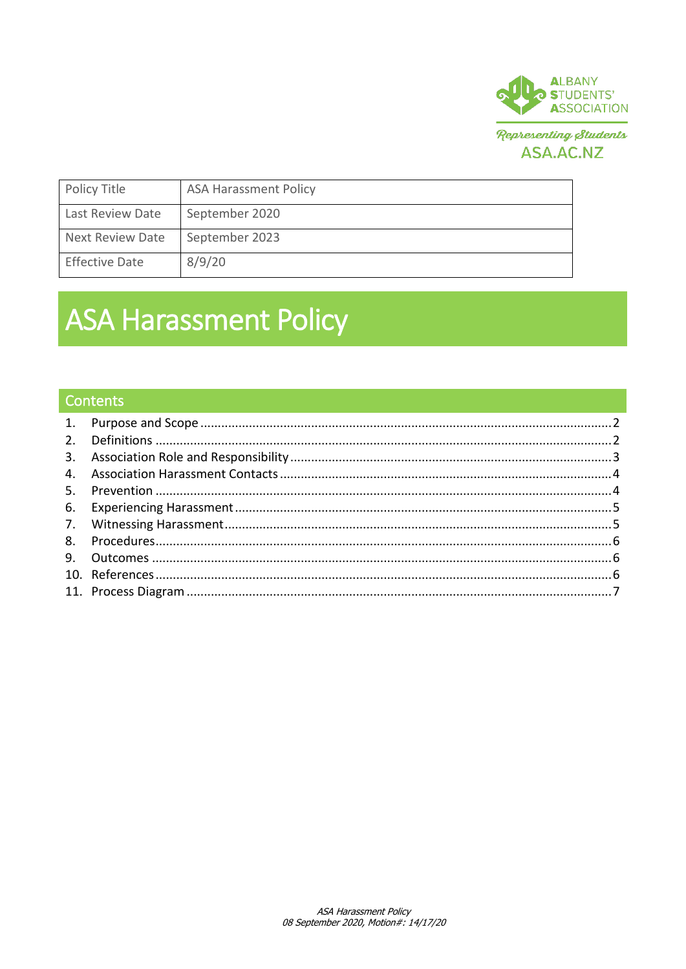

ASA.AC.NZ

| Policy Title          | <b>ASA Harassment Policy</b> |
|-----------------------|------------------------------|
| Last Review Date      | September 2020               |
| Next Review Date      | September 2023               |
| <b>Effective Date</b> | 8/9/20                       |

# **ASA Harassment Policy**

# Contents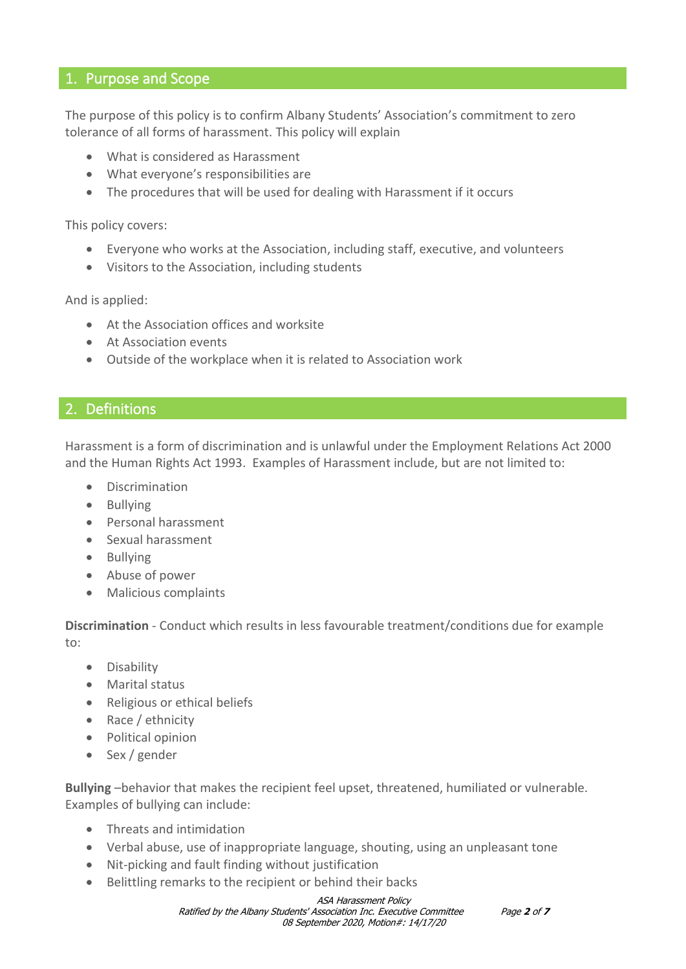### <span id="page-1-0"></span>1. Purpose and Scope

The purpose of this policy is to confirm Albany Students' Association's commitment to zero tolerance of all forms of harassment. This policy will explain

- What is considered as Harassment
- What everyone's responsibilities are
- The procedures that will be used for dealing with Harassment if it occurs

This policy covers:

- Everyone who works at the Association, including staff, executive, and volunteers
- Visitors to the Association, including students

And is applied:

- At the Association offices and worksite
- At Association events
- Outside of the workplace when it is related to Association work

## <span id="page-1-1"></span>2. Definitions

Harassment is a form of discrimination and is unlawful under the Employment Relations Act 2000 and the Human Rights Act 1993. Examples of Harassment include, but are not limited to:

- **Discrimination**
- Bullying
- Personal harassment
- Sexual harassment
- Bullying
- Abuse of power
- Malicious complaints

**Discrimination** - Conduct which results in less favourable treatment/conditions due for example to:

- Disability
- Marital status
- Religious or ethical beliefs
- Race / ethnicity
- Political opinion
- Sex / gender

**Bullying** –behavior that makes the recipient feel upset, threatened, humiliated or vulnerable. Examples of bullying can include:

- Threats and intimidation
- Verbal abuse, use of inappropriate language, shouting, using an unpleasant tone
- Nit-picking and fault finding without justification
- Belittling remarks to the recipient or behind their backs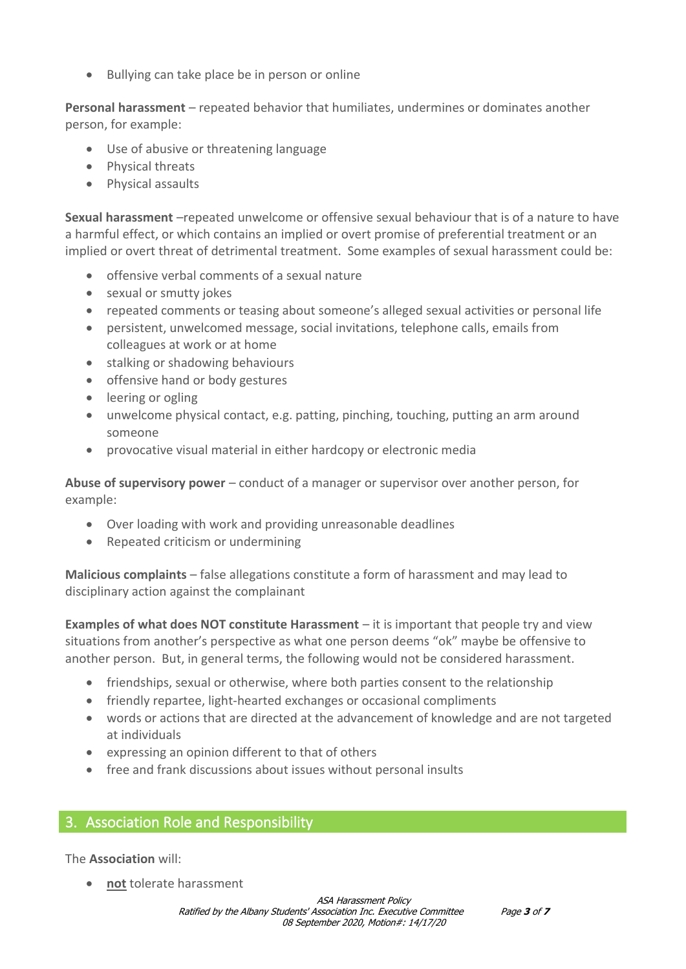• Bullying can take place be in person or online

**Personal harassment** – repeated behavior that humiliates, undermines or dominates another person, for example:

- Use of abusive or threatening language
- Physical threats
- Physical assaults

**Sexual harassment** –repeated unwelcome or offensive sexual behaviour that is of a nature to have a harmful effect, or which contains an implied or overt promise of preferential treatment or an implied or overt threat of detrimental treatment. Some examples of sexual harassment could be:

- offensive verbal comments of a sexual nature
- sexual or smutty jokes
- repeated comments or teasing about someone's alleged sexual activities or personal life
- persistent, unwelcomed message, social invitations, telephone calls, emails from colleagues at work or at home
- stalking or shadowing behaviours
- offensive hand or body gestures
- leering or ogling
- unwelcome physical contact, e.g. patting, pinching, touching, putting an arm around someone
- provocative visual material in either hardcopy or electronic media

**Abuse of supervisory power** – conduct of a manager or supervisor over another person, for example:

- Over loading with work and providing unreasonable deadlines
- Repeated criticism or undermining

**Malicious complaints** – false allegations constitute a form of harassment and may lead to disciplinary action against the complainant

**Examples of what does NOT constitute Harassment** – it is important that people try and view situations from another's perspective as what one person deems "ok" maybe be offensive to another person. But, in general terms, the following would not be considered harassment.

- friendships, sexual or otherwise, where both parties consent to the relationship
- friendly repartee, light-hearted exchanges or occasional compliments
- words or actions that are directed at the advancement of knowledge and are not targeted at individuals
- expressing an opinion different to that of others
- free and frank discussions about issues without personal insults

# <span id="page-2-0"></span>3. Association Role and Responsibility

The **Association** will:

• **not** tolerate harassment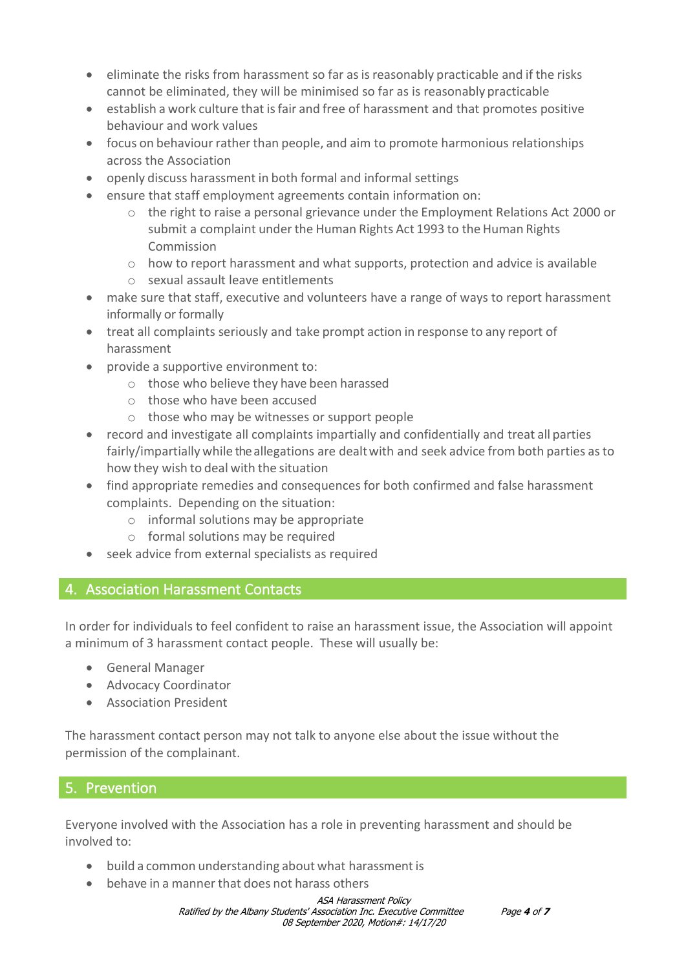- eliminate the risks from harassment so far as is reasonably practicable and if the risks cannot be eliminated, they will be minimised so far as is reasonably practicable
- establish a work culture that isfair and free of harassment and that promotes positive behaviour and work values
- focus on behaviour rather than people, and aim to promote harmonious relationships across the Association
- openly discuss harassment in both formal and informal settings
- ensure that staff employment agreements contain information on:
	- $\circ$  the right to raise a personal grievance under the Employment Relations Act 2000 or submit a complaint under the Human Rights Act 1993 to the Human Rights Commission
	- $\circ$  how to report harassment and what supports, protection and advice is available
	- o sexual assault leave entitlements
- make sure that staff, executive and volunteers have a range of ways to report harassment informally or formally
- treat all complaints seriously and take prompt action in response to any report of harassment
- provide a supportive environment to:
	- o those who believe they have been harassed
	- o those who have been accused
	- o those who may be witnesses or support people
- record and investigate all complaints impartially and confidentially and treat all parties fairly/impartially while the allegations are dealtwith and seek advice from both parties asto how they wish to deal with the situation
- find appropriate remedies and consequences for both confirmed and false harassment complaints. Depending on the situation:
	- o informal solutions may be appropriate
	- o formal solutions may be required
- seek advice from external specialists as required

# <span id="page-3-0"></span>4. Association Harassment Contacts

In order for individuals to feel confident to raise an harassment issue, the Association will appoint a minimum of 3 harassment contact people. These will usually be:

- General Manager
- Advocacy Coordinator
- Association President

The harassment contact person may not talk to anyone else about the issue without the permission of the complainant.

# <span id="page-3-1"></span>5. Prevention

Everyone involved with the Association has a role in preventing harassment and should be involved to:

- build a common understanding about what harassment is
- behave in a manner that does not harass others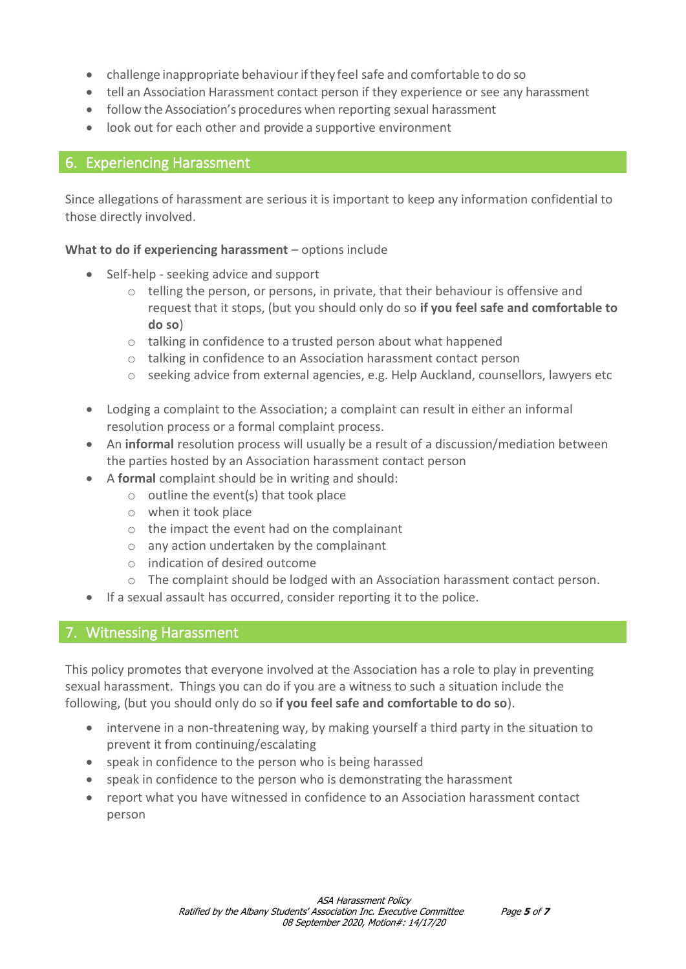- challenge inappropriate behaviour if they feel safe and comfortable to do so
- tell an Association Harassment contact person if they experience or see any harassment
- follow the Association's procedures when reporting sexual harassment
- look out for each other and provide a supportive environment

## <span id="page-4-0"></span>6. Experiencing Harassment

Since allegations of harassment are serious it is important to keep any information confidential to those directly involved.

#### **What to do if experiencing harassment** – options include

- Self-help seeking advice and support
	- $\circ$  telling the person, or persons, in private, that their behaviour is offensive and request that it stops, (but you should only do so **if you feel safe and comfortable to do so**)
	- o talking in confidence to a trusted person about what happened
	- o talking in confidence to an Association harassment contact person
	- o seeking advice from external agencies, e.g. Help Auckland, counsellors, lawyers etc
- Lodging a complaint to the Association; a complaint can result in either an informal resolution process or a formal complaint process.
- An **informal** resolution process will usually be a result of a discussion/mediation between the parties hosted by an Association harassment contact person
- A **formal** complaint should be in writing and should:
	- $\circ$  outline the event(s) that took place
	- o when it took place
	- o the impact the event had on the complainant
	- o any action undertaken by the complainant
	- o indication of desired outcome
	- o The complaint should be lodged with an Association harassment contact person.
- If a sexual assault has occurred, consider reporting it to the police.

# <span id="page-4-1"></span>7. Witnessing Harassment

This policy promotes that everyone involved at the Association has a role to play in preventing sexual harassment. Things you can do if you are a witness to such a situation include the following, (but you should only do so **if you feel safe and comfortable to do so**).

- intervene in a non-threatening way, by making yourself a third party in the situation to prevent it from continuing/escalating
- speak in confidence to the person who is being harassed
- speak in confidence to the person who is demonstrating the harassment
- report what you have witnessed in confidence to an Association harassment contact person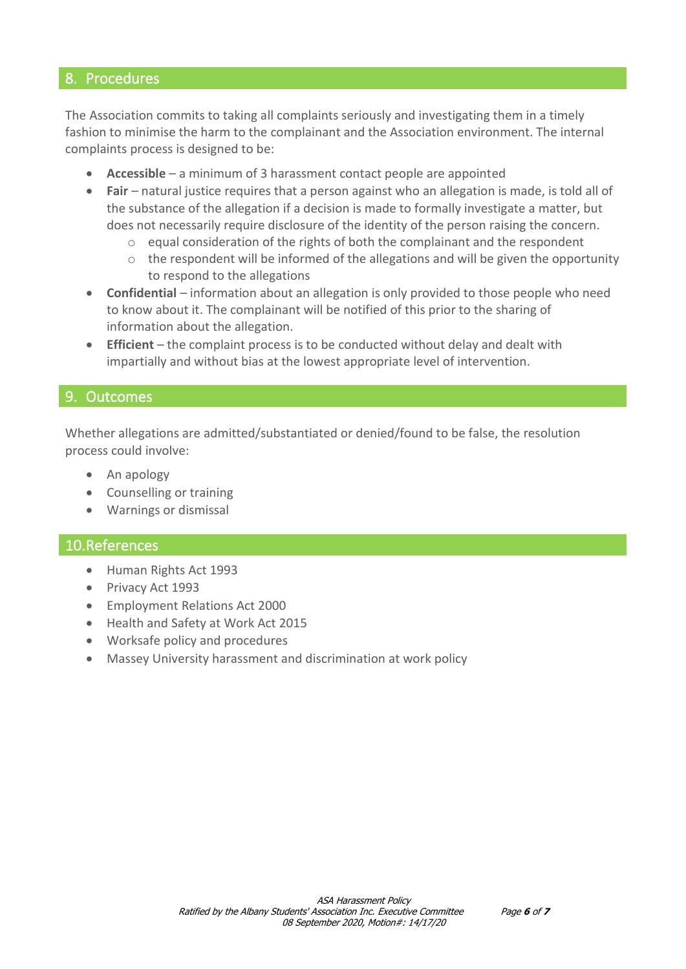#### <span id="page-5-0"></span>8. Procedures

The Association commits to taking all complaints seriously and investigating them in a timely fashion to minimise the harm to the complainant and the Association environment. The internal complaints process is designed to be:

- **Accessible** a minimum of 3 harassment contact people are appointed
- **Fair** natural justice requires that a person against who an allegation is made, is told all of the substance of the allegation if a decision is made to formally investigate a matter, but does not necessarily require disclosure of the identity of the person raising the concern.
	- o equal consideration of the rights of both the complainant and the respondent
	- $\circ$  the respondent will be informed of the allegations and will be given the opportunity to respond to the allegations
- **Confidential** information about an allegation is only provided to those people who need to know about it. The complainant will be notified of this prior to the sharing of information about the allegation.
- **Efficient** the complaint process is to be conducted without delay and dealt with impartially and without bias at the lowest appropriate level of intervention.

#### <span id="page-5-1"></span>9. Outcomes

Whether allegations are admitted/substantiated or denied/found to be false, the resolution process could involve:

- An apology
- Counselling or training
- Warnings or dismissal

#### <span id="page-5-2"></span>10.References

- Human Rights Act 1993
- Privacy Act 1993
- Employment Relations Act 2000
- Health and Safety at Work Act 2015
- Worksafe policy and procedures
- Massey University harassment and discrimination at work policy